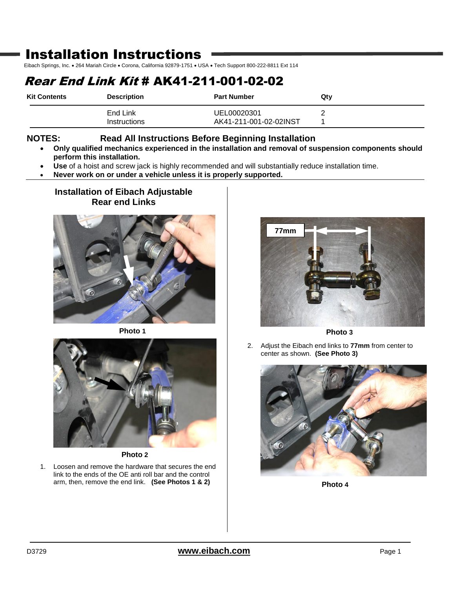# Installation Instructions

Eibach Springs, Inc. . 264 Mariah Circle . Corona, California 92879-1751 . USA . Tech Support 800-222-8811 Ext 114

## Rear End Link Kit # AK41-211-001-02-02

| <b>Kit Contents</b> | <b>Description</b> | <b>Part Number</b>     | Qtv |
|---------------------|--------------------|------------------------|-----|
|                     | End Link           | UEL00020301            |     |
|                     | Instructions       | AK41-211-001-02-02INST |     |

### **NOTES: Read All Instructions Before Beginning Installation**

- **Only qualified mechanics experienced in the installation and removal of suspension components should perform this installation.**
- **Use** of a hoist and screw jack is highly recommended and will substantially reduce installation time.
- **Never work on or under a vehicle unless it is properly supported.**

## **Installation of Eibach Adjustable Rear end Links**



**Photo 1**



**Photo 2**

1. Loosen and remove the hardware that secures the end link to the ends of the OE anti roll bar and the control arm, then, remove the end link. **(See Photos 1 & 2)**



**Photo 3**

2. Adjust the Eibach end links to **77mm** from center to center as shown. **(See Photo 3)**



**Photo 4**